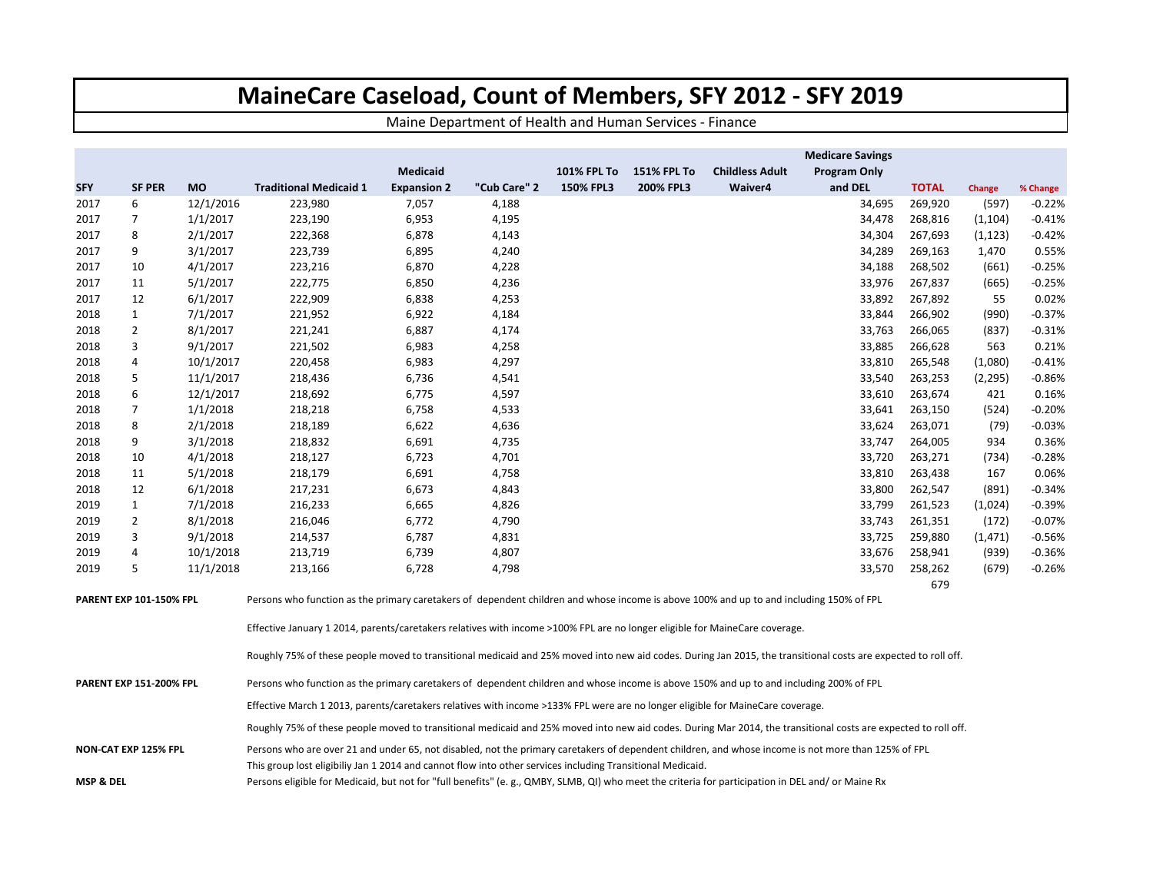## **MaineCare Caseload, Count of Members, SFY 2012 ‐ SFY 2019**

Maine Department of Health and Human Services ‐ Finance

|                                          |                |           |                                                                                                                                                                                                                                                                                                                                                                                                                       |                    |              |                    |                    |                        | <b>Medicare Savings</b> |              |          |          |  |  |  |  |
|------------------------------------------|----------------|-----------|-----------------------------------------------------------------------------------------------------------------------------------------------------------------------------------------------------------------------------------------------------------------------------------------------------------------------------------------------------------------------------------------------------------------------|--------------------|--------------|--------------------|--------------------|------------------------|-------------------------|--------------|----------|----------|--|--|--|--|
|                                          |                |           |                                                                                                                                                                                                                                                                                                                                                                                                                       | <b>Medicaid</b>    |              | <b>101% FPL To</b> | <b>151% FPL To</b> | <b>Childless Adult</b> | <b>Program Only</b>     |              |          |          |  |  |  |  |
| <b>SFY</b>                               | <b>SF PER</b>  | <b>MO</b> | <b>Traditional Medicaid 1</b>                                                                                                                                                                                                                                                                                                                                                                                         | <b>Expansion 2</b> | "Cub Care" 2 | 150% FPL3          | 200% FPL3          | Waiver4                | and DEL                 | <b>TOTAL</b> | Change   | % Change |  |  |  |  |
| 2017                                     | 6              | 12/1/2016 | 223,980                                                                                                                                                                                                                                                                                                                                                                                                               | 7,057              | 4,188        |                    |                    |                        | 34,695                  | 269,920      | (597)    | $-0.22%$ |  |  |  |  |
| 2017                                     | 7              | 1/1/2017  | 223,190                                                                                                                                                                                                                                                                                                                                                                                                               | 6,953              | 4,195        |                    |                    |                        | 34,478                  | 268,816      | (1, 104) | $-0.41%$ |  |  |  |  |
| 2017                                     | 8              | 2/1/2017  | 222,368                                                                                                                                                                                                                                                                                                                                                                                                               | 6,878              | 4,143        |                    |                    |                        | 34,304                  | 267,693      | (1, 123) | $-0.42%$ |  |  |  |  |
| 2017                                     | 9              | 3/1/2017  | 223,739                                                                                                                                                                                                                                                                                                                                                                                                               | 6,895              | 4,240        |                    |                    |                        | 34,289                  | 269,163      | 1,470    | 0.55%    |  |  |  |  |
| 2017                                     | 10             | 4/1/2017  | 223,216                                                                                                                                                                                                                                                                                                                                                                                                               | 6,870              | 4,228        |                    |                    |                        | 34,188                  | 268,502      | (661)    | $-0.25%$ |  |  |  |  |
| 2017                                     | 11             | 5/1/2017  | 222,775                                                                                                                                                                                                                                                                                                                                                                                                               | 6,850              | 4,236        |                    |                    |                        | 33,976                  | 267,837      | (665)    | $-0.25%$ |  |  |  |  |
| 2017                                     | 12             | 6/1/2017  | 222,909                                                                                                                                                                                                                                                                                                                                                                                                               | 6,838              | 4,253        |                    |                    |                        | 33,892                  | 267,892      | 55       | 0.02%    |  |  |  |  |
| 2018                                     | $\mathbf{1}$   | 7/1/2017  | 221,952                                                                                                                                                                                                                                                                                                                                                                                                               | 6,922              | 4,184        |                    |                    |                        | 33,844                  | 266,902      | (990)    | $-0.37%$ |  |  |  |  |
| 2018                                     | $\overline{2}$ | 8/1/2017  | 221,241                                                                                                                                                                                                                                                                                                                                                                                                               | 6,887              | 4,174        |                    |                    |                        | 33,763                  | 266,065      | (837)    | $-0.31%$ |  |  |  |  |
| 2018                                     | 3              | 9/1/2017  | 221,502                                                                                                                                                                                                                                                                                                                                                                                                               | 6,983              | 4,258        |                    |                    |                        | 33,885                  | 266,628      | 563      | 0.21%    |  |  |  |  |
| 2018                                     | 4              | 10/1/2017 | 220,458                                                                                                                                                                                                                                                                                                                                                                                                               | 6,983              | 4,297        |                    |                    |                        | 33,810                  | 265,548      | (1,080)  | $-0.41%$ |  |  |  |  |
| 2018                                     | 5              | 11/1/2017 | 218,436                                                                                                                                                                                                                                                                                                                                                                                                               | 6,736              | 4,541        |                    |                    |                        | 33,540                  | 263,253      | (2, 295) | $-0.86%$ |  |  |  |  |
| 2018                                     | 6              | 12/1/2017 | 218,692                                                                                                                                                                                                                                                                                                                                                                                                               | 6,775              | 4,597        |                    |                    |                        | 33,610                  | 263,674      | 421      | 0.16%    |  |  |  |  |
| 2018                                     | $\overline{7}$ | 1/1/2018  | 218,218                                                                                                                                                                                                                                                                                                                                                                                                               | 6,758              | 4,533        |                    |                    |                        | 33,641                  | 263,150      | (524)    | $-0.20%$ |  |  |  |  |
| 2018                                     | 8              | 2/1/2018  | 218,189                                                                                                                                                                                                                                                                                                                                                                                                               | 6,622              | 4,636        |                    |                    |                        | 33,624                  | 263,071      | (79)     | $-0.03%$ |  |  |  |  |
| 2018                                     | 9              | 3/1/2018  | 218,832                                                                                                                                                                                                                                                                                                                                                                                                               | 6,691              | 4,735        |                    |                    |                        | 33,747                  | 264,005      | 934      | 0.36%    |  |  |  |  |
| 2018                                     | 10             | 4/1/2018  | 218,127                                                                                                                                                                                                                                                                                                                                                                                                               | 6,723              | 4,701        |                    |                    |                        | 33,720                  | 263,271      | (734)    | $-0.28%$ |  |  |  |  |
| 2018                                     | 11             | 5/1/2018  | 218,179                                                                                                                                                                                                                                                                                                                                                                                                               | 6,691              | 4,758        |                    |                    |                        | 33,810                  | 263,438      | 167      | 0.06%    |  |  |  |  |
| 2018                                     | 12             | 6/1/2018  | 217,231                                                                                                                                                                                                                                                                                                                                                                                                               | 6,673              | 4,843        |                    |                    |                        | 33,800                  | 262,547      | (891)    | $-0.34%$ |  |  |  |  |
| 2019                                     | $\mathbf{1}$   | 7/1/2018  | 216,233                                                                                                                                                                                                                                                                                                                                                                                                               | 6,665              | 4,826        |                    |                    |                        | 33,799                  | 261,523      | (1,024)  | $-0.39%$ |  |  |  |  |
| 2019                                     | 2              | 8/1/2018  | 216,046                                                                                                                                                                                                                                                                                                                                                                                                               | 6,772              | 4,790        |                    |                    |                        | 33,743                  | 261,351      | (172)    | $-0.07%$ |  |  |  |  |
| 2019                                     | 3              | 9/1/2018  | 214,537                                                                                                                                                                                                                                                                                                                                                                                                               | 6,787              | 4,831        |                    |                    |                        | 33,725                  | 259,880      | (1, 471) | $-0.56%$ |  |  |  |  |
| 2019                                     | 4              | 10/1/2018 | 213,719                                                                                                                                                                                                                                                                                                                                                                                                               | 6,739              | 4,807        |                    |                    |                        | 33,676                  | 258,941      | (939)    | $-0.36%$ |  |  |  |  |
| 2019                                     | 5              | 11/1/2018 | 213,166                                                                                                                                                                                                                                                                                                                                                                                                               | 6,728              | 4,798        |                    |                    |                        | 33,570                  | 258,262      | (679)    | $-0.26%$ |  |  |  |  |
| <b>PARENT EXP 101-150% FPL</b>           |                |           | 679<br>Persons who function as the primary caretakers of dependent children and whose income is above 100% and up to and including 150% of FPL<br>Effective January 1 2014, parents/caretakers relatives with income >100% FPL are no longer eligible for MaineCare coverage.                                                                                                                                         |                    |              |                    |                    |                        |                         |              |          |          |  |  |  |  |
|                                          |                |           | Roughly 75% of these people moved to transitional medicaid and 25% moved into new aid codes. During Jan 2015, the transitional costs are expected to roll off.                                                                                                                                                                                                                                                        |                    |              |                    |                    |                        |                         |              |          |          |  |  |  |  |
| <b>PARENT EXP 151-200% FPL</b>           |                |           | Persons who function as the primary caretakers of dependent children and whose income is above 150% and up to and including 200% of FPL                                                                                                                                                                                                                                                                               |                    |              |                    |                    |                        |                         |              |          |          |  |  |  |  |
|                                          |                |           | Effective March 1 2013, parents/caretakers relatives with income >133% FPL were are no longer eligible for MaineCare coverage.                                                                                                                                                                                                                                                                                        |                    |              |                    |                    |                        |                         |              |          |          |  |  |  |  |
|                                          |                |           | Roughly 75% of these people moved to transitional medicaid and 25% moved into new aid codes. During Mar 2014, the transitional costs are expected to roll off.                                                                                                                                                                                                                                                        |                    |              |                    |                    |                        |                         |              |          |          |  |  |  |  |
| <b>NON-CAT EXP 125% FPL</b><br>MSP & DEL |                |           | Persons who are over 21 and under 65, not disabled, not the primary caretakers of dependent children, and whose income is not more than 125% of FPL<br>This group lost eligibiliy Jan 1 2014 and cannot flow into other services including Transitional Medicaid.<br>Persons eligible for Medicaid, but not for "full benefits" (e.g., QMBY, SLMB, QI) who meet the criteria for participation in DEL and/or Maine Rx |                    |              |                    |                    |                        |                         |              |          |          |  |  |  |  |